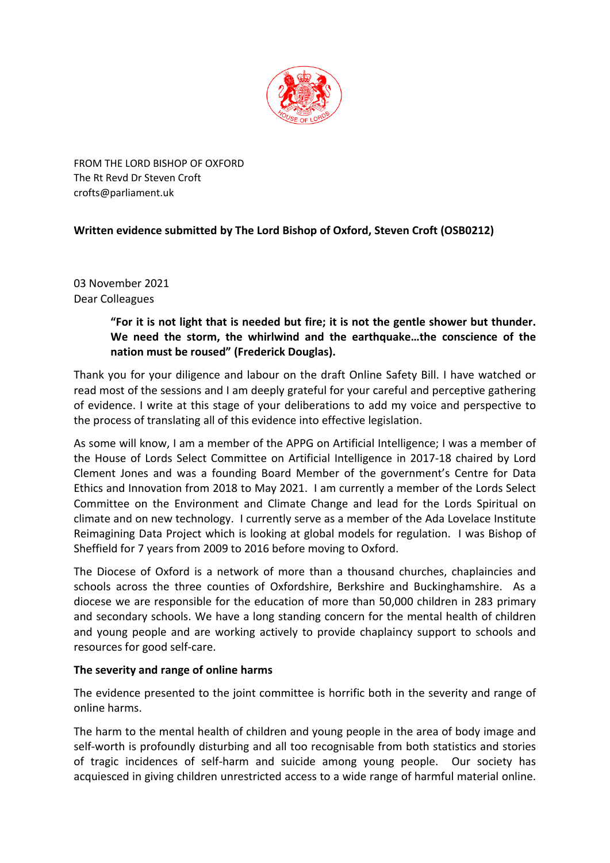

FROM THE LORD BISHOP OF OXFORD The Rt Revd Dr Steven Croft crofts@parliament.uk

# **Written evidence submitted by The Lord Bishop of Oxford, Steven Croft (OSB0212)**

03 November 2021 Dear Colleagues

# **"For it is not light that is needed but fire; it is not the gentle shower but thunder. We need the storm, the whirlwind and the earthquake…the conscience of the nation must be roused" (Frederick Douglas).**

Thank you for your diligence and labour on the draft Online Safety Bill. I have watched or read most of the sessions and I am deeply grateful for your careful and perceptive gathering of evidence. I write at this stage of your deliberations to add my voice and perspective to the process of translating all of this evidence into effective legislation.

As some will know, I am a member of the APPG on Artificial Intelligence; I was a member of the House of Lords Select Committee on Artificial Intelligence in 2017-18 chaired by Lord Clement Jones and was a founding Board Member of the government's Centre for Data Ethics and Innovation from 2018 to May 2021. I am currently a member of the Lords Select Committee on the Environment and Climate Change and lead for the Lords Spiritual on climate and on new technology. I currently serve as a member of the Ada Lovelace Institute Reimagining Data Project which is looking at global models for regulation. I was Bishop of Sheffield for 7 years from 2009 to 2016 before moving to Oxford.

The Diocese of Oxford is a network of more than a thousand churches, chaplaincies and schools across the three counties of Oxfordshire, Berkshire and Buckinghamshire. As a diocese we are responsible for the education of more than 50,000 children in 283 primary and secondary schools. We have a long standing concern for the mental health of children and young people and are working actively to provide chaplaincy support to schools and resources for good self-care.

## **The severity and range of online harms**

The evidence presented to the joint committee is horrific both in the severity and range of online harms.

The harm to the mental health of children and young people in the area of body image and self-worth is profoundly disturbing and all too recognisable from both statistics and stories of tragic incidences of self-harm and suicide among young people. Our society has acquiesced in giving children unrestricted access to a wide range of harmful material online.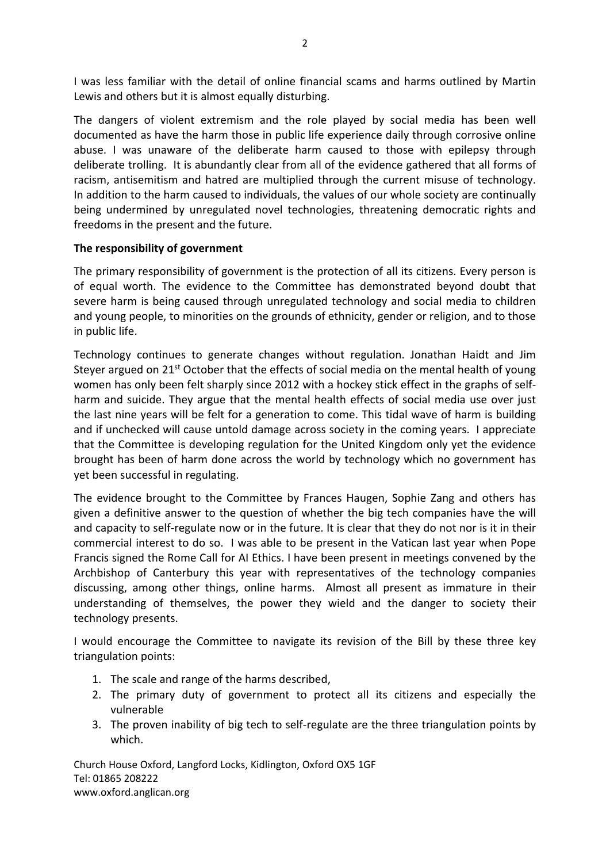I was less familiar with the detail of online financial scams and harms outlined by Martin Lewis and others but it is almost equally disturbing.

The dangers of violent extremism and the role played by social media has been well documented as have the harm those in public life experience daily through corrosive online abuse. I was unaware of the deliberate harm caused to those with epilepsy through deliberate trolling. It is abundantly clear from all of the evidence gathered that all forms of racism, antisemitism and hatred are multiplied through the current misuse of technology. In addition to the harm caused to individuals, the values of our whole society are continually being undermined by unregulated novel technologies, threatening democratic rights and freedoms in the present and the future.

#### **The responsibility of government**

The primary responsibility of government is the protection of all its citizens. Every person is of equal worth. The evidence to the Committee has demonstrated beyond doubt that severe harm is being caused through unregulated technology and social media to children and young people, to minorities on the grounds of ethnicity, gender or religion, and to those in public life.

Technology continues to generate changes without regulation. Jonathan Haidt and Jim Steyer argued on 21<sup>st</sup> October that the effects of social media on the mental health of young women has only been felt sharply since 2012 with a hockey stick effect in the graphs of selfharm and suicide. They argue that the mental health effects of social media use over just the last nine years will be felt for a generation to come. This tidal wave of harm is building and if unchecked will cause untold damage across society in the coming years. I appreciate that the Committee is developing regulation for the United Kingdom only yet the evidence brought has been of harm done across the world by technology which no government has yet been successful in regulating.

The evidence brought to the Committee by Frances Haugen, Sophie Zang and others has given a definitive answer to the question of whether the big tech companies have the will and capacity to self-regulate now or in the future. It is clear that they do not nor is it in their commercial interest to do so. I was able to be present in the Vatican last year when Pope Francis signed the Rome Call for AI Ethics. I have been present in meetings convened by the Archbishop of Canterbury this year with representatives of the technology companies discussing, among other things, online harms. Almost all present as immature in their understanding of themselves, the power they wield and the danger to society their technology presents.

I would encourage the Committee to navigate its revision of the Bill by these three key triangulation points:

- 1. The scale and range of the harms described,
- 2. The primary duty of government to protect all its citizens and especially the vulnerable
- 3. The proven inability of big tech to self-regulate are the three triangulation points by which.

Church House Oxford, Langford Locks, Kidlington, Oxford OX5 1GF Tel: 01865 208222 www.oxford.anglican.org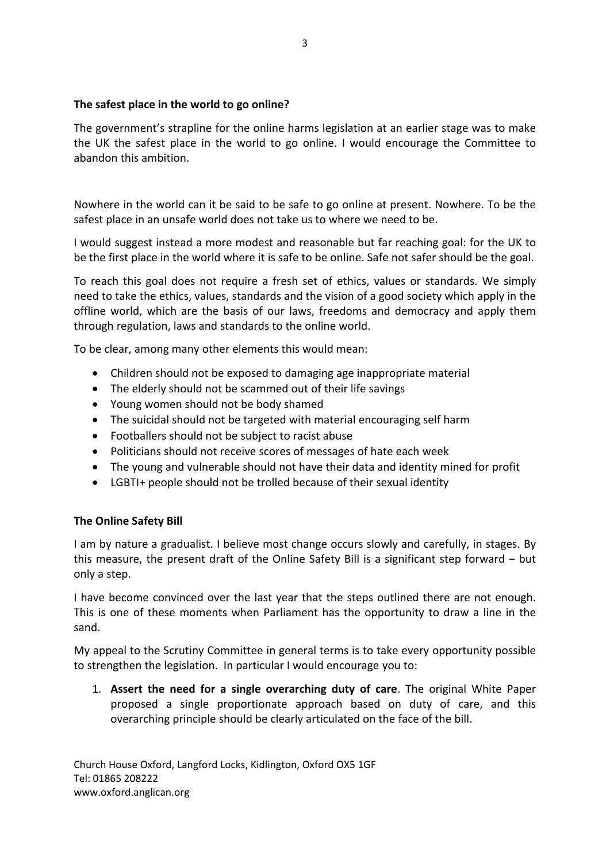#### **The safest place in the world to go online?**

The government's strapline for the online harms legislation at an earlier stage was to make the UK the safest place in the world to go online. I would encourage the Committee to abandon this ambition.

Nowhere in the world can it be said to be safe to go online at present. Nowhere. To be the safest place in an unsafe world does not take us to where we need to be.

I would suggest instead a more modest and reasonable but far reaching goal: for the UK to be the first place in the world where it is safe to be online. Safe not safer should be the goal.

To reach this goal does not require a fresh set of ethics, values or standards. We simply need to take the ethics, values, standards and the vision of a good society which apply in the offline world, which are the basis of our laws, freedoms and democracy and apply them through regulation, laws and standards to the online world.

To be clear, among many other elements this would mean:

- Children should not be exposed to damaging age inappropriate material
- The elderly should not be scammed out of their life savings
- Young women should not be body shamed
- The suicidal should not be targeted with material encouraging self harm
- Footballers should not be subject to racist abuse
- Politicians should not receive scores of messages of hate each week
- The young and vulnerable should not have their data and identity mined for profit
- LGBTI+ people should not be trolled because of their sexual identity

## **The Online Safety Bill**

I am by nature a gradualist. I believe most change occurs slowly and carefully, in stages. By this measure, the present draft of the Online Safety Bill is a significant step forward – but only a step.

I have become convinced over the last year that the steps outlined there are not enough. This is one of these moments when Parliament has the opportunity to draw a line in the sand.

My appeal to the Scrutiny Committee in general terms is to take every opportunity possible to strengthen the legislation. In particular I would encourage you to:

1. **Assert the need for a single overarching duty of care**. The original White Paper proposed a single proportionate approach based on duty of care, and this overarching principle should be clearly articulated on the face of the bill.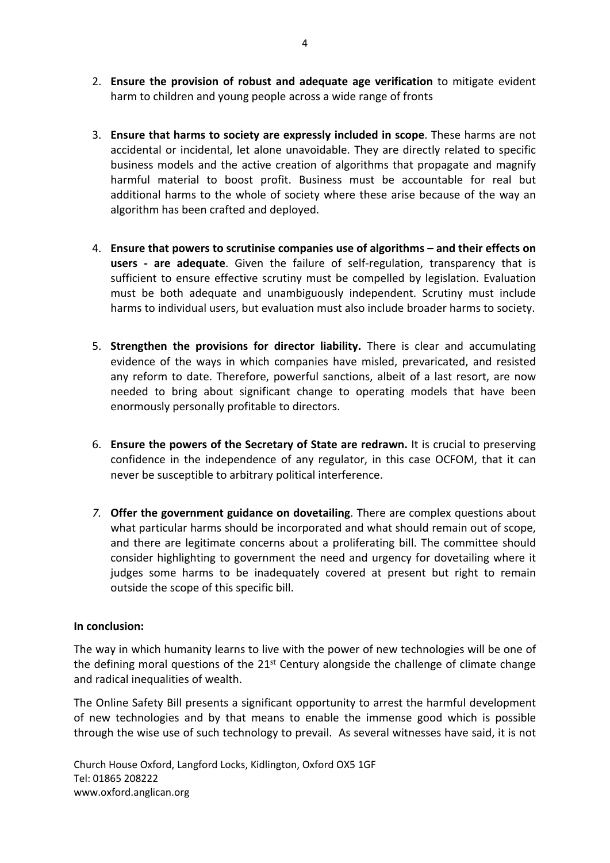- 2. **Ensure the provision of robust and adequate age verification** to mitigate evident harm to children and young people across a wide range of fronts
- 3. **Ensure that harms to society are expressly included in scope**. These harms are not accidental or incidental, let alone unavoidable. They are directly related to specific business models and the active creation of algorithms that propagate and magnify harmful material to boost profit. Business must be accountable for real but additional harms to the whole of society where these arise because of the way an algorithm has been crafted and deployed.
- 4. **Ensure that powers to scrutinise companies use of algorithms – and their effects on users - are adequate**. Given the failure of self-regulation, transparency that is sufficient to ensure effective scrutiny must be compelled by legislation. Evaluation must be both adequate and unambiguously independent. Scrutiny must include harms to individual users, but evaluation must also include broader harms to society.
- 5. **Strengthen the provisions for director liability.** There is clear and accumulating evidence of the ways in which companies have misled, prevaricated, and resisted any reform to date. Therefore, powerful sanctions, albeit of a last resort, are now needed to bring about significant change to operating models that have been enormously personally profitable to directors.
- 6. **Ensure the powers of the Secretary of State are redrawn.** It is crucial to preserving confidence in the independence of any regulator, in this case OCFOM, that it can never be susceptible to arbitrary political interference.
- *7.* **Offer the government guidance on dovetailing**. There are complex questions about what particular harms should be incorporated and what should remain out of scope, and there are legitimate concerns about a proliferating bill. The committee should consider highlighting to government the need and urgency for dovetailing where it judges some harms to be inadequately covered at present but right to remain outside the scope of this specific bill.

#### **In conclusion:**

The way in which humanity learns to live with the power of new technologies will be one of the defining moral questions of the  $21<sup>st</sup>$  Century alongside the challenge of climate change and radical inequalities of wealth.

The Online Safety Bill presents a significant opportunity to arrest the harmful development of new technologies and by that means to enable the immense good which is possible through the wise use of such technology to prevail. As several witnesses have said, it is not

Church House Oxford, Langford Locks, Kidlington, Oxford OX5 1GF Tel: 01865 208222 www.oxford.anglican.org